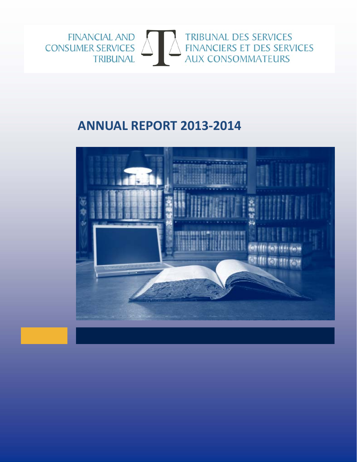

# **ANNUAL REPORT 2013‐2014**

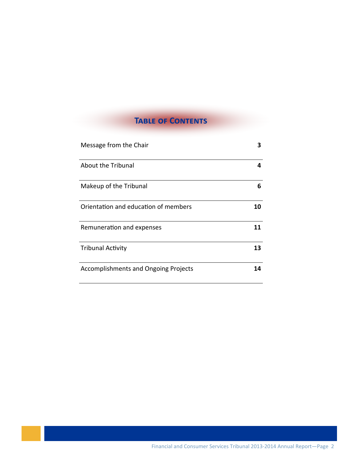# **TABLE OF CONTENTS**

| Message from the Chair                      | 3  |
|---------------------------------------------|----|
| About the Tribunal                          | 4  |
| Makeup of the Tribunal                      | 6  |
| Orientation and education of members        | 10 |
| Remuneration and expenses                   | 11 |
| <b>Tribunal Activity</b>                    | 13 |
| <b>Accomplishments and Ongoing Projects</b> | 14 |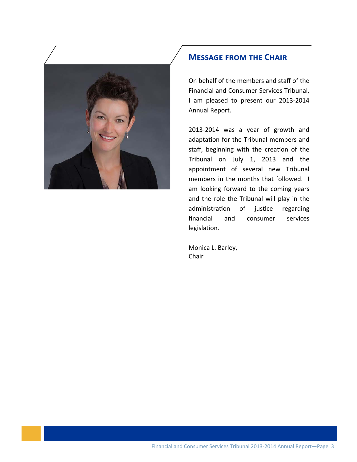

#### **MESSAGE FROM THE CHAIR**

On behalf of the members and staff of the Financial and Consumer Services Tribunal, I am pleased to present our 2013‐2014 Annual Report.

2013‐2014 was a year of growth and adaptation for the Tribunal members and staff, beginning with the creation of the Tribunal on July 1, 2013 and the appointment of several new Tribunal members in the months that followed. I am looking forward to the coming years and the role the Tribunal will play in the administration of justice regarding financial and consumer services legislation.

Monica L. Barley, Chair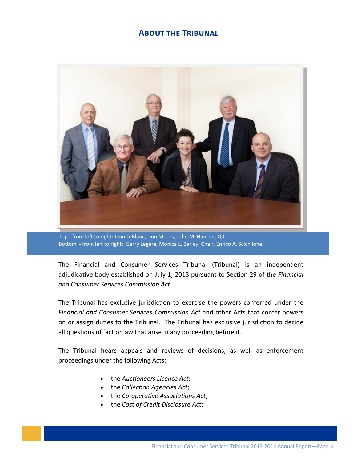# **ABOUT THE TRIBUNAL**



Top - from left to right: Jean LeBlanc, Don Moors, John M. Hanson, Q.C. Bottom - from left to right: Gerry Legere, Monica L. Barley, Chair, Enrico A. Scichilone

The Financial and Consumer Services Tribunal (Tribunal) is an independent adjudicative body established on July 1, 2013 pursuant to Section 29 of the Financial and Consumer Services Commission Act.

The Tribunal has exclusive jurisdiction to exercise the powers conferred under the Financial and Consumer Services Commission Act and other Acts that confer powers on or assign duties to the Tribunal. The Tribunal has exclusive jurisdiction to decide all questions of fact or law that arise in any proceeding before it.

The Tribunal hears appeals and reviews of decisions, as well as enforcement proceedings under the following Acts:

- the Auctioneers Licence Act;
- the Collection Agencies Act;
- the Co-operative Associations Act;
- the Cost of Credit Disclosure Act;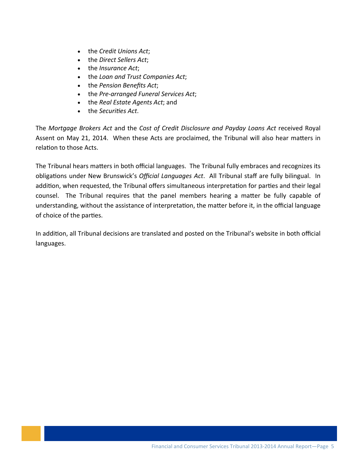- the *Credit Unions Act*;
- the *Direct Sellers Act*;
- the *Insurance Act*;
- the *Loan and Trust Companies Act*;
- the *Pension Benefits Act*;
- the *Pre‐arranged Funeral Services Act*;
- the *Real Estate Agents Act*; and
- the *Securities* Act.

The *Mortgage Brokers Act* and the *Cost of Credit Disclosure and Payday Loans Act* received Royal Assent on May 21, 2014. When these Acts are proclaimed, the Tribunal will also hear matters in relation to those Acts.

The Tribunal hears matters in both official languages. The Tribunal fully embraces and recognizes its obligaƟons under New Brunswick's *Official Languages Act*. All Tribunal staff are fully bilingual. In addition, when requested, the Tribunal offers simultaneous interpretation for parties and their legal counsel. The Tribunal requires that the panel members hearing a matter be fully capable of understanding, without the assistance of interpretation, the matter before it, in the official language of choice of the parties.

In addition, all Tribunal decisions are translated and posted on the Tribunal's website in both official languages.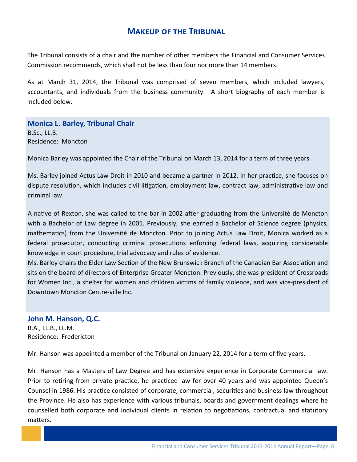## **MAKEUP OF THE TRIBUNAL**

The Tribunal consists of a chair and the number of other members the Financial and Consumer Services Commission recommends, which shall not be less than four nor more than 14 members.

As at March 31, 2014, the Tribunal was comprised of seven members, which included lawyers, accountants, and individuals from the business community. A short biography of each member is included below.

**Monica L. Barley, Tribunal Chair B.Sc., LL.B.** Residence: Moncton

Monica Barley was appointed the Chair of the Tribunal on March 13, 2014 for a term of three years.

Ms. Barley joined Actus Law Droit in 2010 and became a partner in 2012. In her practice, she focuses on dispute resolution, which includes civil litigation, employment law, contract law, administrative law and criminal law.

A native of Rexton, she was called to the bar in 2002 after graduating from the Université de Moncton with a Bachelor of Law degree in 2001. Previously, she earned a Bachelor of Science degree (physics, mathematics) from the Université de Moncton. Prior to joining Actus Law Droit, Monica worked as a federal prosecutor, conducting criminal prosecutions enforcing federal laws, acquiring considerable knowledge in court procedure, trial advocacy and rules of evidence.

Ms. Barley chairs the Elder Law Section of the New Brunswick Branch of the Canadian Bar Association and sits on the board of directors of Enterprise Greater Moncton. Previously, she was president of Crossroads for Women Inc., a shelter for women and children victims of family violence, and was vice-president of Downtown Moncton Centre-ville Inc.

#### John M. Hanson, Q.C. B.A., LL.B., LL.M. Residence: Fredericton

Mr. Hanson was appointed a member of the Tribunal on January 22, 2014 for a term of five years.

Mr. Hanson has a Masters of Law Degree and has extensive experience in Corporate Commercial law. Prior to retiring from private practice, he practiced law for over 40 years and was appointed Queen's Counsel in 1986. His practice consisted of corporate, commercial, securities and business law throughout the Province. He also has experience with various tribunals, boards and government dealings where he counselled both corporate and individual clients in relation to negotiations, contractual and statutory matters.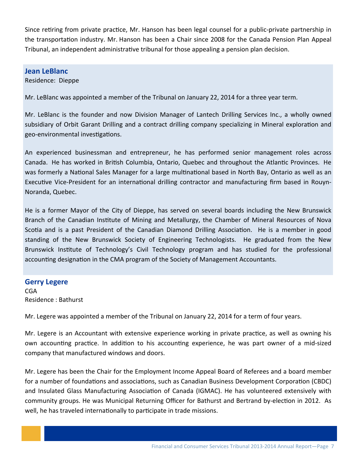Since retiring from private practice, Mr. Hanson has been legal counsel for a public-private partnership in the transportation industry. Mr. Hanson has been a Chair since 2008 for the Canada Pension Plan Appeal Tribunal, an independent administrative tribunal for those appealing a pension plan decision.

#### **Jean LeBlanc**

Residence: Dieppe

Mr. LeBlanc was appointed a member of the Tribunal on January 22, 2014 for a three year term.

Mr. LeBlanc is the founder and now Division Manager of Lantech Drilling Services Inc., a wholly owned subsidiary of Orbit Garant Drilling and a contract drilling company specializing in Mineral exploration and geo-environmental investigations.

An experienced businessman and entrepreneur, he has performed senior management roles across Canada. He has worked in British Columbia, Ontario, Quebec and throughout the Atlantic Provinces. He was formerly a National Sales Manager for a large multinational based in North Bay, Ontario as well as an Executive Vice-President for an international drilling contractor and manufacturing firm based in Rouyn-Noranda, Quebec.

He is a former Mayor of the City of Dieppe, has served on several boards including the New Brunswick Branch of the Canadian Institute of Mining and Metallurgy, the Chamber of Mineral Resources of Nova Scotia and is a past President of the Canadian Diamond Drilling Association. He is a member in good standing of the New Brunswick Society of Engineering Technologists. He graduated from the New Brunswick Institute of Technology's Civil Technology program and has studied for the professional accounting designation in the CMA program of the Society of Management Accountants.

#### **Gerry Legere**

CGA Residence : Bathurst

Mr. Legere was appointed a member of the Tribunal on January 22, 2014 for a term of four years.

Mr. Legere is an Accountant with extensive experience working in private practice, as well as owning his own accounting practice. In addition to his accounting experience, he was part owner of a mid-sized company that manufactured windows and doors.

well, he has traveled internationally to participate in trade missions.<br>. Mr. Legere has been the Chair for the Employment Income Appeal Board of Referees and a board member for a number of foundations and associations, such as Canadian Business Development Corporation (CBDC) and Insulated Glass Manufacturing Association of Canada (IGMAC). He has volunteered extensively with community groups. He was Municipal Returning Officer for Bathurst and Bertrand by-election in 2012. As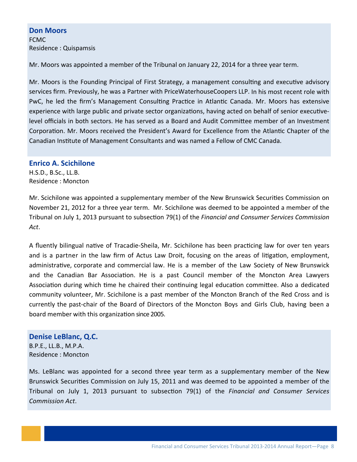#### **Don Moors** FCMC

Residence : Quispamsis

Mr. Moors was appointed a member of the Tribunal on January 22, 2014 for a three year term.

Mr. Moors is the Founding Principal of First Strategy, a management consulting and executive advisory services firm. Previously, he was a Partner with PriceWaterhouseCoopers LLP. In his most recent role with PwC, he led the firm's Management Consulting Practice in Atlantic Canada. Mr. Moors has extensive experience with large public and private sector organizations, having acted on behalf of senior executivelevel officials in both sectors. He has served as a Board and Audit Committee member of an Investment Corporation. Mr. Moors received the President's Award for Excellence from the Atlantic Chapter of the Canadian Institute of Management Consultants and was named a Fellow of CMC Canada.

#### **Enrico A. Scichilone**

H.S.D., B.Sc., LL.B. Residence : Moncton

Mr. Scichilone was appointed a supplementary member of the New Brunswick Securities Commission on November 21, 2012 for a three year term. Mr. Scichilone was deemed to be appointed a member of the Tribunal on July 1, 2013 pursuant to subsecƟon 79(1) of the *Financial and Consumer Services Commission Act*.

A fluently bilingual native of Tracadie-Sheila, Mr. Scichilone has been practicing law for over ten years and is a partner in the law firm of Actus Law Droit, focusing on the areas of litigation, employment, administrative, corporate and commercial law. He is a member of the Law Society of New Brunswick and the Canadian Bar Association. He is a past Council member of the Moncton Area Lawyers Association during which time he chaired their continuing legal education committee. Also a dedicated community volunteer, Mr. Scichilone is a past member of the Moncton Branch of the Red Cross and is currently the past-chair of the Board of Directors of the Moncton Boys and Girls Club, having been a board member with this organization since 2005.

**Denise LeBlanc, Q.C.**  B.P.E., LL.B., M.P.A. Residence : Moncton

Ms. LeBlanc was appointed for a second three year term as a supplementary member of the New Brunswick Securities Commission on July 15, 2011 and was deemed to be appointed a member of the Tribunal on July 1, 2013 pursuant to subsecƟon 79(1) of the *Financial and Consumer Services Commission Act*.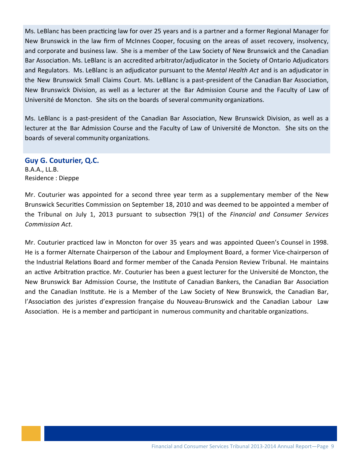Ms. LeBlanc has been practicing law for over 25 years and is a partner and a former Regional Manager for New Brunswick in the law firm of McInnes Cooper, focusing on the areas of asset recovery, insolvency, and corporate and business law. She is a member of the Law Society of New Brunswick and the Canadian Bar Association. Ms. LeBlanc is an accredited arbitrator/adjudicator in the Society of Ontario Adjudicators and Regulators. Ms. LeBlanc is an adjudicator pursuant to the *Mental Health Act* and is an adjudicator in the New Brunswick Small Claims Court. Ms. LeBlanc is a past-president of the Canadian Bar Association, New Brunswick Division, as well as a lecturer at the Bar Admission Course and the Faculty of Law of Université de Moncton. She sits on the boards of several community organizations.

Ms. LeBlanc is a past-president of the Canadian Bar Association, New Brunswick Division, as well as a lecturer at the Bar Admission Course and the Faculty of Law of Université de Moncton. She sits on the boards of several community organizations.

#### **Guy G. Couturier, Q.C.**

B.A.A., LL.B. Residence : Dieppe

Mr. Couturier was appointed for a second three year term as a supplementary member of the New Brunswick Securities Commission on September 18, 2010 and was deemed to be appointed a member of the Tribunal on July 1, 2013 pursuant to subsecƟon 79(1) of the *Financial and Consumer Services Commission Act*.

Mr. Couturier practiced law in Moncton for over 35 years and was appointed Queen's Counsel in 1998. He is a former Alternate Chairperson of the Labour and Employment Board, a former Vice‐chairperson of the Industrial Relations Board and former member of the Canada Pension Review Tribunal. He maintains an active Arbitration practice. Mr. Couturier has been a guest lecturer for the Université de Moncton, the New Brunswick Bar Admission Course, the Institute of Canadian Bankers, the Canadian Bar Association and the Canadian Institute. He is a Member of the Law Society of New Brunswick, the Canadian Bar, l'Association des juristes d'expression française du Nouveau-Brunswick and the Canadian Labour Law Association. He is a member and participant in numerous community and charitable organizations.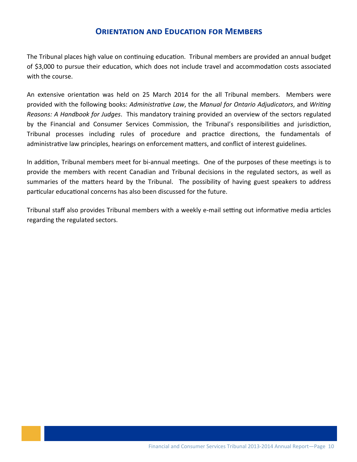## **ORIENTATION AND EDUCATION FOR MEMBERS**

The Tribunal places high value on continuing education. Tribunal members are provided an annual budget of \$3,000 to pursue their education, which does not include travel and accommodation costs associated with the course.

An extensive orientation was held on 25 March 2014 for the all Tribunal members. Members were provided with the following books: Administrative Law, the Manual for Ontario Adjudicators, and Writing Reasons: A Handbook for Judges. This mandatory training provided an overview of the sectors regulated by the Financial and Consumer Services Commission, the Tribunal's responsibilities and jurisdiction, Tribunal processes including rules of procedure and practice directions, the fundamentals of administrative law principles, hearings on enforcement matters, and conflict of interest guidelines.

In addition, Tribunal members meet for bi-annual meetings. One of the purposes of these meetings is to provide the members with recent Canadian and Tribunal decisions in the regulated sectors, as well as summaries of the matters heard by the Tribunal. The possibility of having guest speakers to address particular educational concerns has also been discussed for the future.

Tribunal staff also provides Tribunal members with a weekly e-mail setting out informative media articles regarding the regulated sectors.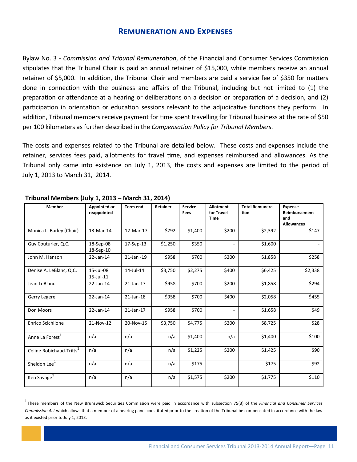#### **REMUNERATION AND EXPENSES**

Bylaw No. 3 - Commission and Tribunal Remuneration, of the Financial and Consumer Services Commission stipulates that the Tribunal Chair is paid an annual retainer of \$15,000, while members receive an annual retainer of \$5,000. In addition, the Tribunal Chair and members are paid a service fee of \$350 for matters done in connection with the business and affairs of the Tribunal, including but not limited to (1) the preparation or attendance at a hearing or deliberations on a decision or preparation of a decision, and (2) participation in orientation or education sessions relevant to the adjudicative functions they perform. In addition, Tribunal members receive payment for time spent travelling for Tribunal business at the rate of \$50 per 100 kilometers as further described in the Compensation Policy for Tribunal Members.

The costs and expenses related to the Tribunal are detailed below. These costs and expenses include the retainer, services fees paid, allotments for travel time, and expenses reimbursed and allowances. As the Tribunal only came into existence on July 1, 2013, the costs and expenses are limited to the period of July 1, 2013 to March 31, 2014.

| <b>Member</b>                        | <b>Appointed or</b> | <b>Term end</b> | <b>Retainer</b> | <b>Service</b> | <b>Allotment</b>         | <b>Total Remunera-</b> | <b>Expense</b>       |  |
|--------------------------------------|---------------------|-----------------|-----------------|----------------|--------------------------|------------------------|----------------------|--|
|                                      | reappointed         |                 |                 | Fees           | for Travel               | tion                   | <b>Reimbursement</b> |  |
|                                      |                     |                 |                 |                | <b>Time</b>              |                        | and                  |  |
|                                      |                     |                 |                 |                |                          |                        | <b>Allowances</b>    |  |
| Monica L. Barley (Chair)             | 13-Mar-14           | 12-Mar-17       | \$792           | \$1,400        | \$200                    | \$2,392                | \$147                |  |
| Guy Couturier, Q.C.                  | 18-Sep-08           | 17-Sep-13       | \$1,250         | \$350          | $\overline{\phantom{a}}$ | \$1,600                |                      |  |
|                                      | 18-Sep-10           |                 |                 |                |                          |                        |                      |  |
|                                      |                     |                 |                 |                |                          |                        |                      |  |
| John M. Hanson                       | 22-Jan-14           | 21-Jan -19      | \$958           | \$700          | \$200                    | \$1,858                | \$258                |  |
| Denise A. LeBlanc, Q.C.              | 15-Jul-08           | 14-Jul-14       | \$3,750         | \$2,275        | \$400                    | \$6,425                | \$2,338              |  |
|                                      | 15-Jul-11           |                 |                 |                |                          |                        |                      |  |
|                                      |                     |                 |                 |                |                          |                        |                      |  |
| Jean LeBlanc                         | 22-Jan-14           | $21$ -Jan-17    | \$958           | \$700          | \$200                    | \$1,858                | \$294                |  |
|                                      |                     |                 |                 |                |                          |                        |                      |  |
| Gerry Legere                         | 22-Jan-14           | $21$ -Jan-18    | \$958           | \$700          | \$400                    | \$2,058                | \$455                |  |
|                                      |                     |                 |                 |                |                          |                        |                      |  |
| Don Moors                            | 22-Jan-14           | $21$ -Jan-17    | \$958           | \$700          | $\overline{\phantom{a}}$ | \$1,658                | \$49                 |  |
|                                      |                     |                 |                 |                |                          |                        |                      |  |
| <b>Enrico Scichilone</b>             | 21-Nov-12           | 20-Nov-15       | \$3,750         | \$4,775        | \$200                    | \$8,725                | \$28                 |  |
|                                      |                     |                 |                 |                |                          |                        |                      |  |
|                                      |                     |                 |                 |                |                          |                        |                      |  |
| Anne La Forest <sup>1</sup>          | n/a                 | n/a             | n/a             | \$1,400        | n/a                      | \$1,400                | \$100                |  |
|                                      |                     |                 |                 |                |                          |                        |                      |  |
| Céline Robichaud-Trifts <sup>1</sup> | n/a                 | n/a             | n/a             | \$1,225        | \$200                    | \$1,425                | \$90                 |  |
|                                      |                     |                 |                 |                |                          |                        |                      |  |
| Sheldon Lee <sup>1</sup>             | n/a                 | n/a             | n/a             | \$175          |                          | \$175                  | \$92                 |  |
|                                      |                     |                 |                 |                |                          |                        |                      |  |
|                                      |                     |                 |                 |                |                          |                        |                      |  |
| Ken Savage <sup>1</sup>              | n/a                 | n/a             | n/a             | \$1,575        | \$200                    | \$1,775                | \$110                |  |
|                                      |                     |                 |                 |                |                          |                        |                      |  |

#### Trihunal Members (July 1, 2013 - March 31, 2014)

 $1$  These members of the New Brunswick Securities Commission were paid in accordance with subsection 75(3) of the Financial and Consumer Services Commission Act which allows that a member of a hearing panel constituted prior to the creation of the Tribunal be compensated in accordance with the law as it existed prior to July 1, 2013.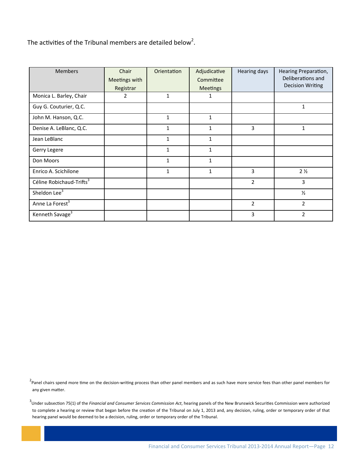The activities of the Tribunal members are detailed below<sup>2</sup>.

| <b>Members</b>                       | Chair<br>Meetings with<br>Registrar | Orientation  | Adjudicative<br>Committee<br><b>Meetings</b> | Hearing days   | Hearing Preparation,<br>Deliberations and<br><b>Decision Writing</b> |
|--------------------------------------|-------------------------------------|--------------|----------------------------------------------|----------------|----------------------------------------------------------------------|
| Monica L. Barley, Chair              | 2                                   | 1            | 1                                            |                |                                                                      |
| Guy G. Couturier, Q.C.               |                                     |              |                                              |                | 1                                                                    |
| John M. Hanson, Q.C.                 |                                     | $\mathbf{1}$ | 1                                            |                |                                                                      |
| Denise A. LeBlanc, Q.C.              |                                     | 1            | 1                                            | 3              | 1                                                                    |
| Jean LeBlanc                         |                                     | $\mathbf{1}$ | $\mathbf{1}$                                 |                |                                                                      |
| Gerry Legere                         |                                     | $\mathbf{1}$ | $\mathbf{1}$                                 |                |                                                                      |
| Don Moors                            |                                     | 1            | 1                                            |                |                                                                      |
| Enrico A. Scichilone                 |                                     | $\mathbf{1}$ | $\mathbf{1}$                                 | 3              | 2 <sub>2</sub>                                                       |
| Céline Robichaud-Trifts <sup>3</sup> |                                     |              |                                              | $\overline{2}$ | 3                                                                    |
| Sheldon Lee <sup>3</sup>             |                                     |              |                                              |                | $\frac{1}{2}$                                                        |
| Anne La Forest <sup>3</sup>          |                                     |              |                                              | $\overline{2}$ | $\overline{2}$                                                       |
| Kenneth Savage <sup>3</sup>          |                                     |              |                                              | 3              | $\overline{2}$                                                       |

<sup>2</sup>Panel chairs spend more time on the decision-writing process than other panel members and as such have more service fees than other panel members for any given matter.

plete<br>pan <sup>3</sup>Under subsection 75(1) of the *Financial and Consumer Services Commission Act*, hearing panels of the New Brunswick Securities Commission were authorized to complete a hearing or review that began before the creation of the Tribunal on July 1, 2013 and, any decision, ruling, order or temporary order of that hearing panel would be deemed to be a decision, ruling, order or temporary order of the Tribunal.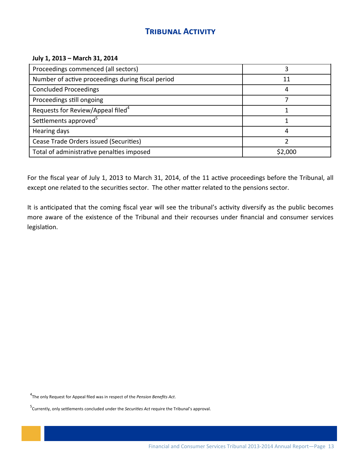# **TRIBUNAL ACTIVITY**

#### July 1, 2013 - March 31, 2014

| Proceedings commenced (all sectors)               |         |
|---------------------------------------------------|---------|
| Number of active proceedings during fiscal period | 11      |
| <b>Concluded Proceedings</b>                      |         |
| Proceedings still ongoing                         |         |
| Requests for Review/Appeal filed <sup>4</sup>     |         |
| Settlements approved <sup>5</sup>                 |         |
| Hearing days                                      |         |
| Cease Trade Orders issued (Securities)            |         |
| Total of administrative penalties imposed         | \$2,000 |

For the fiscal year of July 1, 2013 to March 31, 2014, of the 11 active proceedings before the Tribunal, all except one related to the securities sector. The other matter related to the pensions sector.

It is anticipated that the coming fiscal year will see the tribunal's activity diversify as the public becomes more aware of the existence of the Tribunal and their recourses under financial and consumer services legislation.

<sup>4</sup>The only Request for Appeal filed was in respect of the Pension Benefits Act.

 $5$ Currently, only settlements concluded under the Securities Act require the Tribunal's approval.